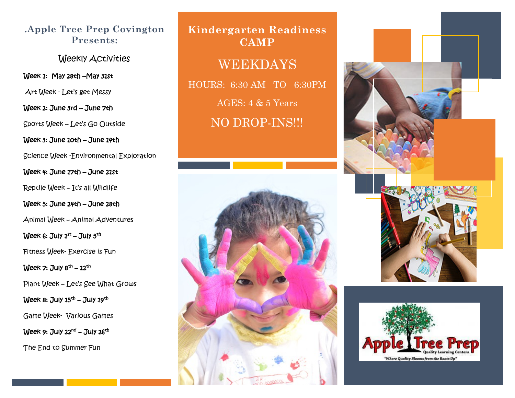#### **.Apple Tree Prep Covington Presents:**

Weekly Activities

Week 1: May 28th - May 31st

Art Week - Let's get Messy

Week 2: June 3rd – June 7th

Sports Week – Let's Go Outside

Week 3: June 10th – June 14th

Science Week -Environmental Exploration

Week 4: June 17th – June 21st

Reptile Week – It's all Wildlife

Week 5: June 24th – June 28th

Animal Week – Animal Adventures

Week 6: July  $1^{st}$  – July  $5^{th}$ 

Fitness Week- Exercise is Fun

Week 7: July  $8<sup>th</sup> - 12<sup>th</sup>$ 

Plant Week – Let's See What Grows

Week 8: July  $15<sup>th</sup>$  – July  $19<sup>th</sup>$ 

Game Week- Various Games

Week 9: July  $22<sup>nd</sup>$  – July  $26<sup>th</sup>$ 

The End to Summer Fun

**Kindergarten Readiness CAMP**

# WEEKDAYS

HOURS: 6:30 AM TO 6:30PM

AGES: 4 & 5 Years NO DROP-INS!!!